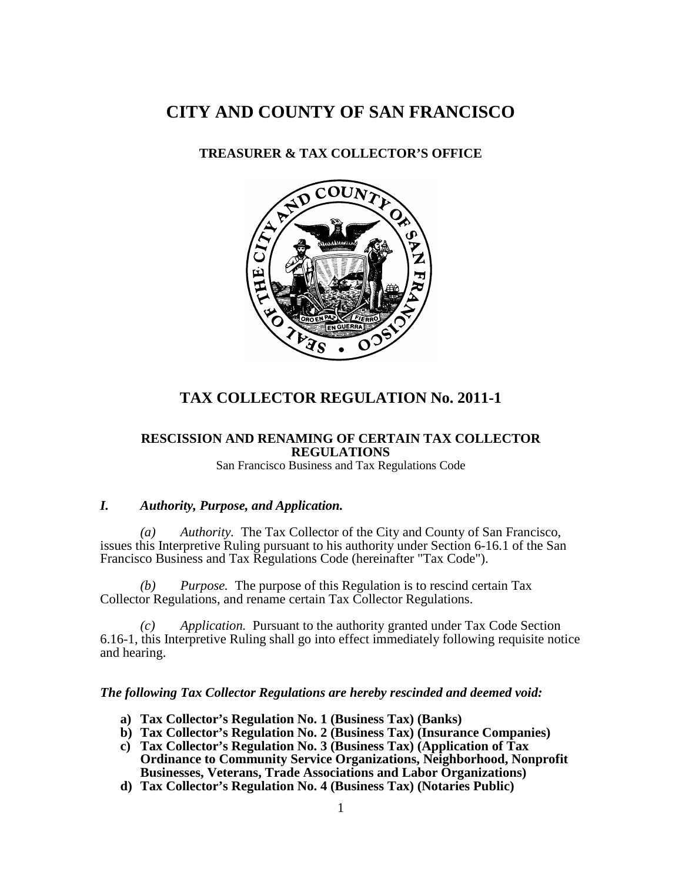# **CITY AND COUNTY OF SAN FRANCISCO**

## **TREASURER & TAX COLLECTOR'S OFFICE**



## **TAX COLLECTOR REGULATION No. 2011-1**

#### **RESCISSION AND RENAMING OF CERTAIN TAX COLLECTOR REGULATIONS**

San Francisco Business and Tax Regulations Code

### *I. Authority, Purpose, and Application.*

*(a) Authority.* The Tax Collector of the City and County of San Francisco, issues this Interpretive Ruling pursuant to his authority under Section 6-16.1 of the San Francisco Business and Tax Regulations Code (hereinafter "Tax Code").

*(b) Purpose.* The purpose of this Regulation is to rescind certain Tax Collector Regulations, and rename certain Tax Collector Regulations.

*(c) Application.* Pursuant to the authority granted under Tax Code Section 6.16-1, this Interpretive Ruling shall go into effect immediately following requisite notice and hearing.

#### *The following Tax Collector Regulations are hereby rescinded and deemed void:*

- **a) Tax Collector's Regulation No. 1 (Business Tax) (Banks)**
- **b) Tax Collector's Regulation No. 2 (Business Tax) (Insurance Companies)**
- **c) Tax Collector's Regulation No. 3 (Business Tax) (Application of Tax Ordinance to Community Service Organizations, Neighborhood, Nonprofit Businesses, Veterans, Trade Associations and Labor Organizations)**
- **d) Tax Collector's Regulation No. 4 (Business Tax) (Notaries Public)**